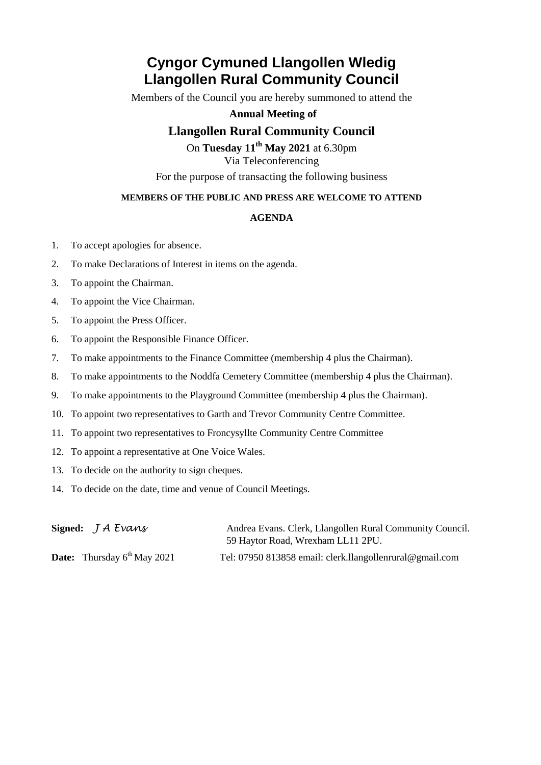# **Cyngor Cymuned Llangollen Wledig Llangollen Rural Community Council**

Members of the Council you are hereby summoned to attend the

**Annual Meeting of**

### **Llangollen Rural Community Council**

On **Tuesday 11th May 2021** at 6.30pm Via Teleconferencing

For the purpose of transacting the following business

### **MEMBERS OF THE PUBLIC AND PRESS ARE WELCOME TO ATTEND**

### **AGENDA**

- 1. To accept apologies for absence.
- 2. To make Declarations of Interest in items on the agenda.
- 3. To appoint the Chairman.
- 4. To appoint the Vice Chairman.
- 5. To appoint the Press Officer.
- 6. To appoint the Responsible Finance Officer.
- 7. To make appointments to the Finance Committee (membership 4 plus the Chairman).
- 8. To make appointments to the Noddfa Cemetery Committee (membership 4 plus the Chairman).
- 9. To make appointments to the Playground Committee (membership 4 plus the Chairman).
- 10. To appoint two representatives to Garth and Trevor Community Centre Committee.
- 11. To appoint two representatives to Froncysyllte Community Centre Committee
- 12. To appoint a representative at One Voice Wales.
- 13. To decide on the authority to sign cheques.
- 14. To decide on the date, time and venue of Council Meetings.

| Signed: $J A E$ vans                    | Andrea Evans. Clerk, Llangollen Rural Community Council. |
|-----------------------------------------|----------------------------------------------------------|
|                                         | 59 Haytor Road, Wrexham LL11 2PU.                        |
| <b>Date:</b> Thursday $6^{th}$ May 2021 | Tel: 07950 813858 email: clerk.llangollenrural@gmail.com |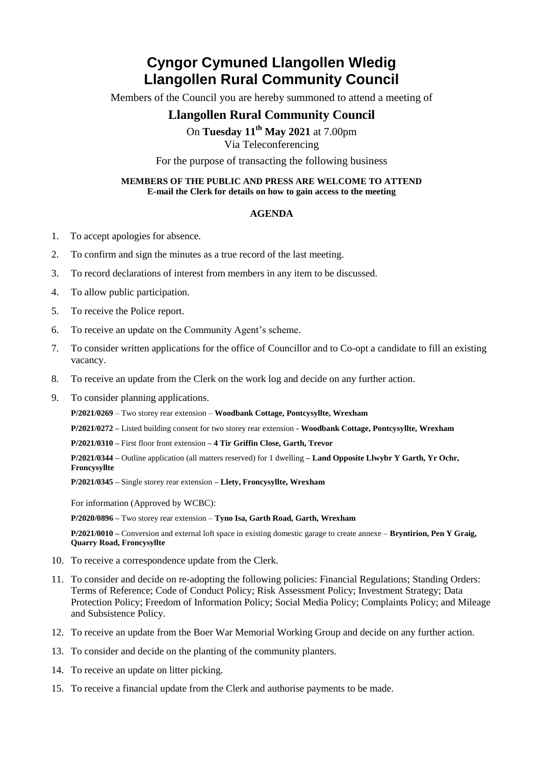# **Cyngor Cymuned Llangollen Wledig Llangollen Rural Community Council**

Members of the Council you are hereby summoned to attend a meeting of

## **Llangollen Rural Community Council**

On **Tuesday 11th May 2021** at 7.00pm

Via Teleconferencing

For the purpose of transacting the following business

#### **MEMBERS OF THE PUBLIC AND PRESS ARE WELCOME TO ATTEND E-mail the Clerk for details on how to gain access to the meeting**

#### **AGENDA**

- 1. To accept apologies for absence.
- 2. To confirm and sign the minutes as a true record of the last meeting.
- 3. To record declarations of interest from members in any item to be discussed.
- 4. To allow public participation.
- 5. To receive the Police report.
- 6. To receive an update on the Community Agent's scheme.
- 7. To consider written applications for the office of Councillor and to Co-opt a candidate to fill an existing vacancy.
- 8. To receive an update from the Clerk on the work log and decide on any further action.
- 9. To consider planning applications.
	- **P/2021/0269** Two storey rear extension **Woodbank Cottage, Pontcysyllte, Wrexham**
	- **P/2021/0272 –** Listed building consent for two storey rear extension **- Woodbank Cottage, Pontcysyllte, Wrexham**
	- **P/2021/0310 –** First floor front extension **– 4 Tir Griffin Close, Garth, Trevor**

**P/2021/0344 –** Outline application (all matters reserved) for 1 dwelling **– Land Opposite Llwybr Y Garth, Yr Ochr, Froncysyllte**

**P/2021/0345 –** Single storey rear extension **– Llety, Froncysyllte, Wrexham**

For information (Approved by WCBC):

**P/2020/0896 –** Two storey rear extension – **Tyno Isa, Garth Road, Garth, Wrexham**

**P/2021/0010 –** Conversion and external loft space in existing domestic garage to create annexe – **Bryntirion, Pen Y Graig, Quarry Road, Froncysyllte**

- 10. To receive a correspondence update from the Clerk.
- 11. To consider and decide on re-adopting the following policies: Financial Regulations; Standing Orders: Terms of Reference; Code of Conduct Policy; Risk Assessment Policy; Investment Strategy; Data Protection Policy; Freedom of Information Policy; Social Media Policy; Complaints Policy; and Mileage and Subsistence Policy.
- 12. To receive an update from the Boer War Memorial Working Group and decide on any further action.
- 13. To consider and decide on the planting of the community planters.
- 14. To receive an update on litter picking.
- 15. To receive a financial update from the Clerk and authorise payments to be made.